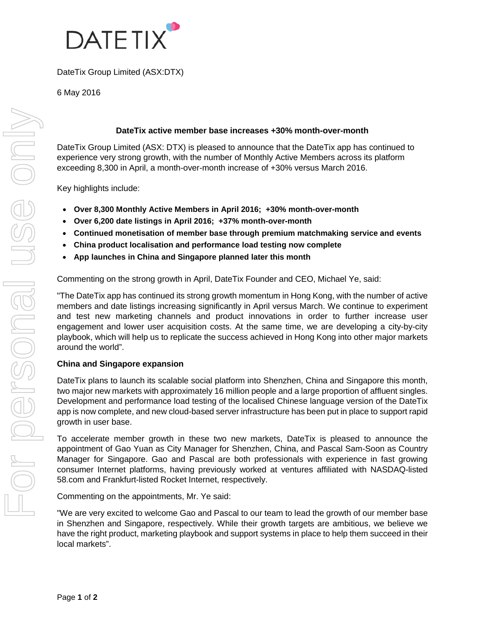

DateTix Group Limited (ASX:DTX)

6 May 2016

## **DateTix active member base increases +30% month-over-month**

DateTix Group Limited (ASX: DTX) is pleased to announce that the DateTix app has continued to experience very strong growth, with the number of Monthly Active Members across its platform exceeding 8,300 in April, a month-over-month increase of +30% versus March 2016.

Key highlights include:

- **Over 8,300 Monthly Active Members in April 2016; +30% month-over-month**
- **Over 6,200 date listings in April 2016; +37% month-over-month**
- **Continued monetisation of member base through premium matchmaking service and events**
- **China product localisation and performance load testing now complete**
- **App launches in China and Singapore planned later this month**

Commenting on the strong growth in April, DateTix Founder and CEO, Michael Ye, said:

"The DateTix app has continued its strong growth momentum in Hong Kong, with the number of active members and date listings increasing significantly in April versus March. We continue to experiment and test new marketing channels and product innovations in order to further increase user engagement and lower user acquisition costs. At the same time, we are developing a city-by-city playbook, which will help us to replicate the success achieved in Hong Kong into other major markets around the world".

# **China and Singapore expansion**

DateTix plans to launch its scalable social platform into Shenzhen, China and Singapore this month, two major new markets with approximately 16 million people and a large proportion of affluent singles. Development and performance load testing of the localised Chinese language version of the DateTix app is now complete, and new cloud-based server infrastructure has been put in place to support rapid growth in user base.

To accelerate member growth in these two new markets, DateTix is pleased to announce the appointment of Gao Yuan as City Manager for Shenzhen, China, and Pascal Sam-Soon as Country Manager for Singapore. Gao and Pascal are both professionals with experience in fast growing consumer Internet platforms, having previously worked at ventures affiliated with NASDAQ-listed 58.com and Frankfurt-listed Rocket Internet, respectively.

Commenting on the appointments, Mr. Ye said:

"We are very excited to welcome Gao and Pascal to our team to lead the growth of our member base in Shenzhen and Singapore, respectively. While their growth targets are ambitious, we believe we have the right product, marketing playbook and support systems in place to help them succeed in their local markets".